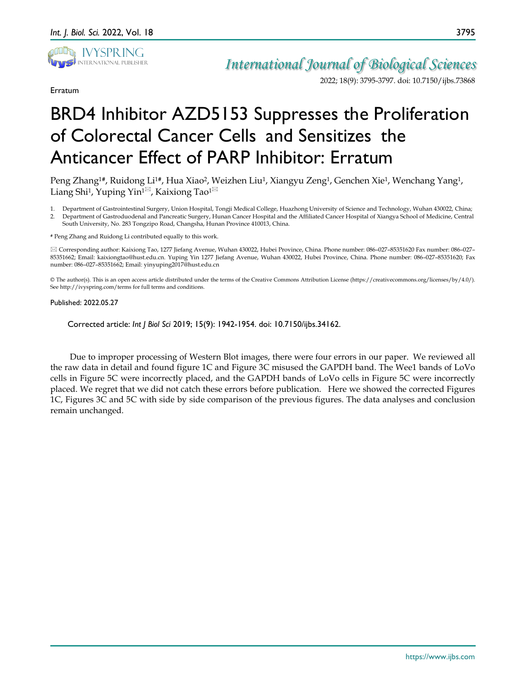

Erratum

*International Journal of Biological Sciences*

2022; 18(9): 3795-3797. doi: 10.7150/ijbs.73868

## BRD4 Inhibitor AZD5153 Suppresses the Proliferation of Colorectal Cancer Cells and Sensitizes the Anticancer Effect of PARP Inhibitor: Erratum

Peng Zhang<sup>1#</sup>, Ruidong Li<sup>1#</sup>, Hua Xiao<sup>2</sup>, Weizhen Liu<sup>1</sup>, Xiangyu Zeng<sup>1</sup>, Genchen Xie<sup>1</sup>, Wenchang Yang<sup>1</sup>, Liang Shi<sup>1</sup>, Yuping Yin<sup>1 $\boxtimes$ </sup>, Kaixiong Tao<sup>1 $\boxtimes$ </sup>

1. Department of Gastrointestinal Surgery, Union Hospital, Tongji Medical College, Huazhong University of Science and Technology, Wuhan 430022, China; 2. Department of Gastroduodenal and Pancreatic Surgery, Hunan Cancer Hospital and the Affiliated Cancer Hospital of Xiangya School of Medicine, Central South University, No. 283 Tongzipo Road, Changsha, Hunan Province 410013, China.

**#** Peng Zhang and Ruidong Li contributed equally to this work.

 Corresponding author: Kaixiong Tao, 1277 Jiefang Avenue, Wuhan 430022, Hubei Province, China. Phone number: 086–027–85351620 Fax number: 086–027– 85351662; Email: kaixiongtao@hust.edu.cn. Yuping Yin 1277 Jiefang Avenue, Wuhan 430022, Hubei Province, China. Phone number: 086–027–85351620; Fax number: 086–027–85351662; Email: yinyuping2017@hust.edu.cn

© The author(s). This is an open access article distributed under the terms of the Creative Commons Attribution License (https://creativecommons.org/licenses/by/4.0/). See http://ivyspring.com/terms for full terms and conditions.

## Published: 2022.05.27

Corrected article: *Int J Biol Sci* 2019; 15(9): 1942-1954. doi: 10.7150/ijbs.34162.

Due to improper processing of Western Blot images, there were four errors in our paper. We reviewed all the raw data in detail and found figure 1C and Figure 3C misused the GAPDH band. The Wee1 bands of LoVo cells in Figure 5C were incorrectly placed, and the GAPDH bands of LoVo cells in Figure 5C were incorrectly placed. We regret that we did not catch these errors before publication. Here we showed the corrected Figures 1C, Figures 3C and 5C with side by side comparison of the previous figures. The data analyses and conclusion remain unchanged.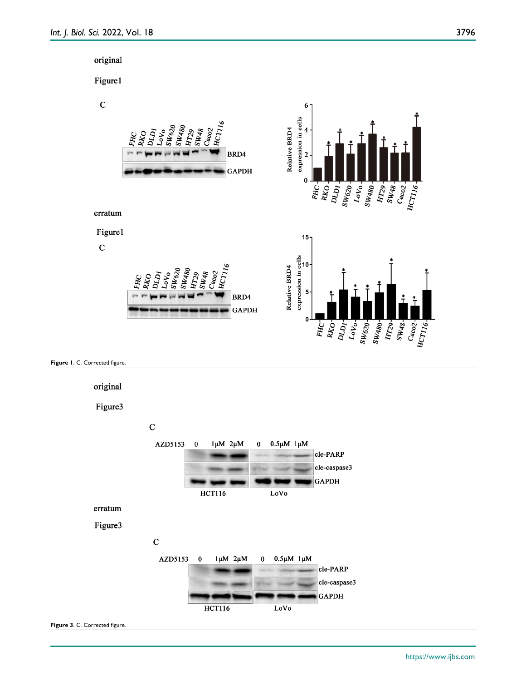





https://www.ijbs.com